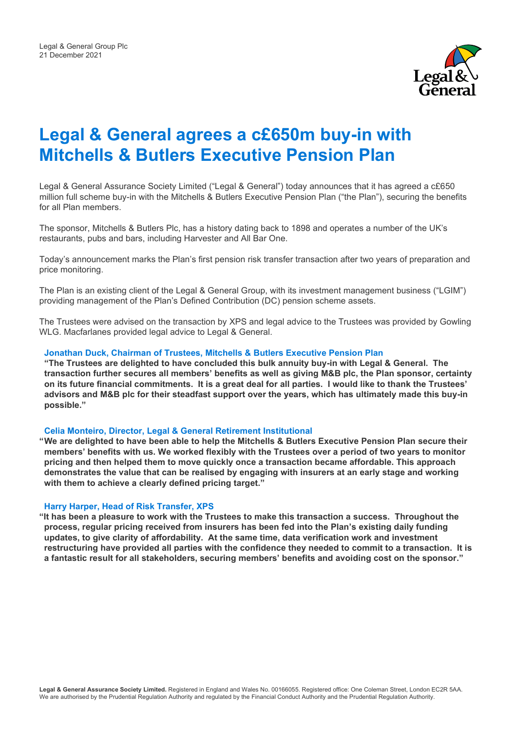

# **Legal & General agrees a c£650m buy-in with Mitchells & Butlers Executive Pension Plan**

Legal & General Assurance Society Limited ("Legal & General") today announces that it has agreed a c£650 million full scheme buy-in with the Mitchells & Butlers Executive Pension Plan ("the Plan"), securing the benefits for all Plan members.

The sponsor, Mitchells & Butlers Plc, has a history dating back to 1898 and operates a number of the UK's restaurants, pubs and bars, including Harvester and All Bar One.

Today's announcement marks the Plan's first pension risk transfer transaction after two years of preparation and price monitoring.

The Plan is an existing client of the Legal & General Group, with its investment management business ("LGIM") providing management of the Plan's Defined Contribution (DC) pension scheme assets.

The Trustees were advised on the transaction by XPS and legal advice to the Trustees was provided by Gowling WLG. Macfarlanes provided legal advice to Legal & General.

### **Jonathan Duck, Chairman of Trustees, Mitchells & Butlers Executive Pension Plan**

**"The Trustees are delighted to have concluded this bulk annuity buy-in with Legal & General. The transaction further secures all members' benefits as well as giving M&B plc, the Plan sponsor, certainty on its future financial commitments. It is a great deal for all parties. I would like to thank the Trustees' advisors and M&B plc for their steadfast support over the years, which has ultimately made this buy-in possible."**

### **Celia Monteiro, Director, Legal & General Retirement Institutional**

**"We are delighted to have been able to help the Mitchells & Butlers Executive Pension Plan secure their members' benefits with us. We worked flexibly with the Trustees over a period of two years to monitor pricing and then helped them to move quickly once a transaction became affordable. This approach demonstrates the value that can be realised by engaging with insurers at an early stage and working with them to achieve a clearly defined pricing target."** 

#### **Harry Harper, Head of Risk Transfer, XPS**

**"It has been a pleasure to work with the Trustees to make this transaction a success. Throughout the process, regular pricing received from insurers has been fed into the Plan's existing daily funding updates, to give clarity of affordability. At the same time, data verification work and investment restructuring have provided all parties with the confidence they needed to commit to a transaction. It is a fantastic result for all stakeholders, securing members' benefits and avoiding cost on the sponsor."**